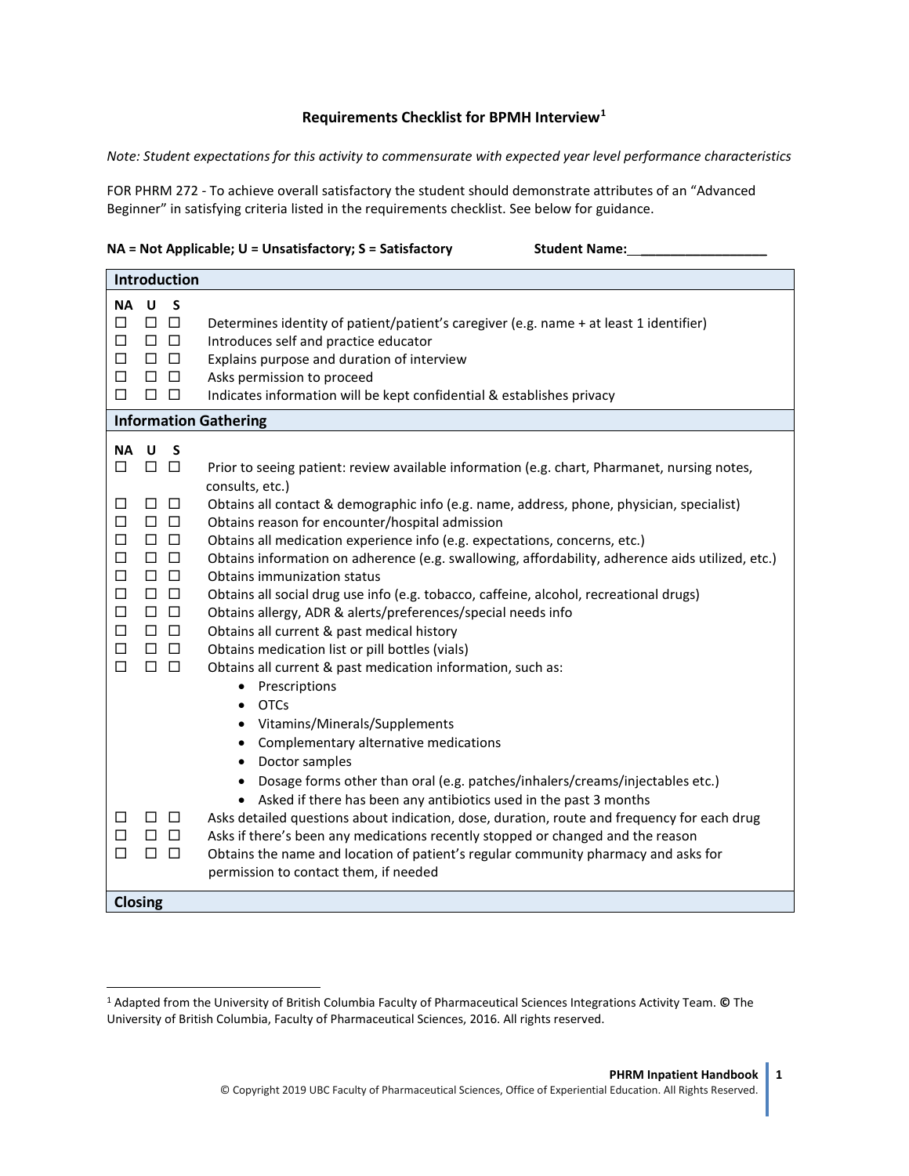## **Requirements Checklist for BPMH Interview[1](#page-0-0)**

*Note: Student expectations for this activity to commensurate with expected year level performance characteristics*

FOR PHRM 272 - To achieve overall satisfactory the student should demonstrate attributes of an "Advanced Beginner" in satisfying criteria listed in the requirements checklist. See below for guidance.

| $NA$ = Not Applicable; $U$ = Unsatisfactory; S = Satisfactory | <b>Student Name:</b> |
|---------------------------------------------------------------|----------------------|
|---------------------------------------------------------------|----------------------|

 $\overline{a}$ 

|  | <b>Student Name:</b> |  |
|--|----------------------|--|
|  |                      |  |

| <b>Introduction</b>                                                                                                                                                                                                                                                                                                                                                                                                                                                                                                                                                                                                                                                                                                                                                                                                                                                                                                                                                                                                                                                                                                                                                                                                                                                                                                                                                                                                                                                                                                                                                                                                                                                                                                                                                                                                          |  |  |
|------------------------------------------------------------------------------------------------------------------------------------------------------------------------------------------------------------------------------------------------------------------------------------------------------------------------------------------------------------------------------------------------------------------------------------------------------------------------------------------------------------------------------------------------------------------------------------------------------------------------------------------------------------------------------------------------------------------------------------------------------------------------------------------------------------------------------------------------------------------------------------------------------------------------------------------------------------------------------------------------------------------------------------------------------------------------------------------------------------------------------------------------------------------------------------------------------------------------------------------------------------------------------------------------------------------------------------------------------------------------------------------------------------------------------------------------------------------------------------------------------------------------------------------------------------------------------------------------------------------------------------------------------------------------------------------------------------------------------------------------------------------------------------------------------------------------------|--|--|
| NA U<br>S<br>$\Box$ $\Box$<br>□<br>Determines identity of patient/patient's caregiver (e.g. name + at least 1 identifier)<br>$\Box$<br>$\Box$ $\Box$<br>Introduces self and practice educator<br>$\Box$<br>$\Box$ $\Box$<br>Explains purpose and duration of interview<br>□<br>$\Box$ $\Box$<br>Asks permission to proceed<br>$\Box$ $\Box$<br>□<br>Indicates information will be kept confidential & establishes privacy                                                                                                                                                                                                                                                                                                                                                                                                                                                                                                                                                                                                                                                                                                                                                                                                                                                                                                                                                                                                                                                                                                                                                                                                                                                                                                                                                                                                    |  |  |
| <b>Information Gathering</b>                                                                                                                                                                                                                                                                                                                                                                                                                                                                                                                                                                                                                                                                                                                                                                                                                                                                                                                                                                                                                                                                                                                                                                                                                                                                                                                                                                                                                                                                                                                                                                                                                                                                                                                                                                                                 |  |  |
| NA U<br>S<br>$\Box$<br>$\Box$<br>Prior to seeing patient: review available information (e.g. chart, Pharmanet, nursing notes,<br>□<br>consults, etc.)<br>$\Box$ $\Box$<br>Obtains all contact & demographic info (e.g. name, address, phone, physician, specialist)<br>П<br>$\Box$<br>Obtains reason for encounter/hospital admission<br>$\Box$ $\Box$<br>$\Box$<br>$\Box$ $\Box$<br>Obtains all medication experience info (e.g. expectations, concerns, etc.)<br>$\Box$<br>$\Box$ $\Box$<br>Obtains information on adherence (e.g. swallowing, affordability, adherence aids utilized, etc.)<br>$\Box$<br>$\Box$ $\Box$<br>Obtains immunization status<br>$\Box$<br>$\Box$ $\Box$<br>Obtains all social drug use info (e.g. tobacco, caffeine, alcohol, recreational drugs)<br>$\Box$<br>$\Box$ $\Box$<br>Obtains allergy, ADR & alerts/preferences/special needs info<br>$\Box$<br>$\Box$ $\Box$<br>Obtains all current & past medical history<br>$\Box$ $\Box$<br>□<br>Obtains medication list or pill bottles (vials)<br>$\Box$<br>$\Box$<br>$\Box$<br>Obtains all current & past medication information, such as:<br>• Prescriptions<br><b>OTCs</b><br>$\bullet$<br>Vitamins/Minerals/Supplements<br>Complementary alternative medications<br>Doctor samples<br>$\bullet$<br>Dosage forms other than oral (e.g. patches/inhalers/creams/injectables etc.)<br>• Asked if there has been any antibiotics used in the past 3 months<br>$\Box$ $\Box$<br>Asks detailed questions about indication, dose, duration, route and frequency for each drug<br>□<br>□<br>$\Box$ $\Box$<br>Asks if there's been any medications recently stopped or changed and the reason<br>$\Box$<br>Obtains the name and location of patient's regular community pharmacy and asks for<br>□<br>$\Box$<br>permission to contact them, if needed |  |  |
| <b>Closing</b>                                                                                                                                                                                                                                                                                                                                                                                                                                                                                                                                                                                                                                                                                                                                                                                                                                                                                                                                                                                                                                                                                                                                                                                                                                                                                                                                                                                                                                                                                                                                                                                                                                                                                                                                                                                                               |  |  |

<span id="page-0-0"></span><sup>1</sup> Adapted from the University of British Columbia Faculty of Pharmaceutical Sciences Integrations Activity Team. **©** The University of British Columbia, Faculty of Pharmaceutical Sciences, 2016. All rights reserved.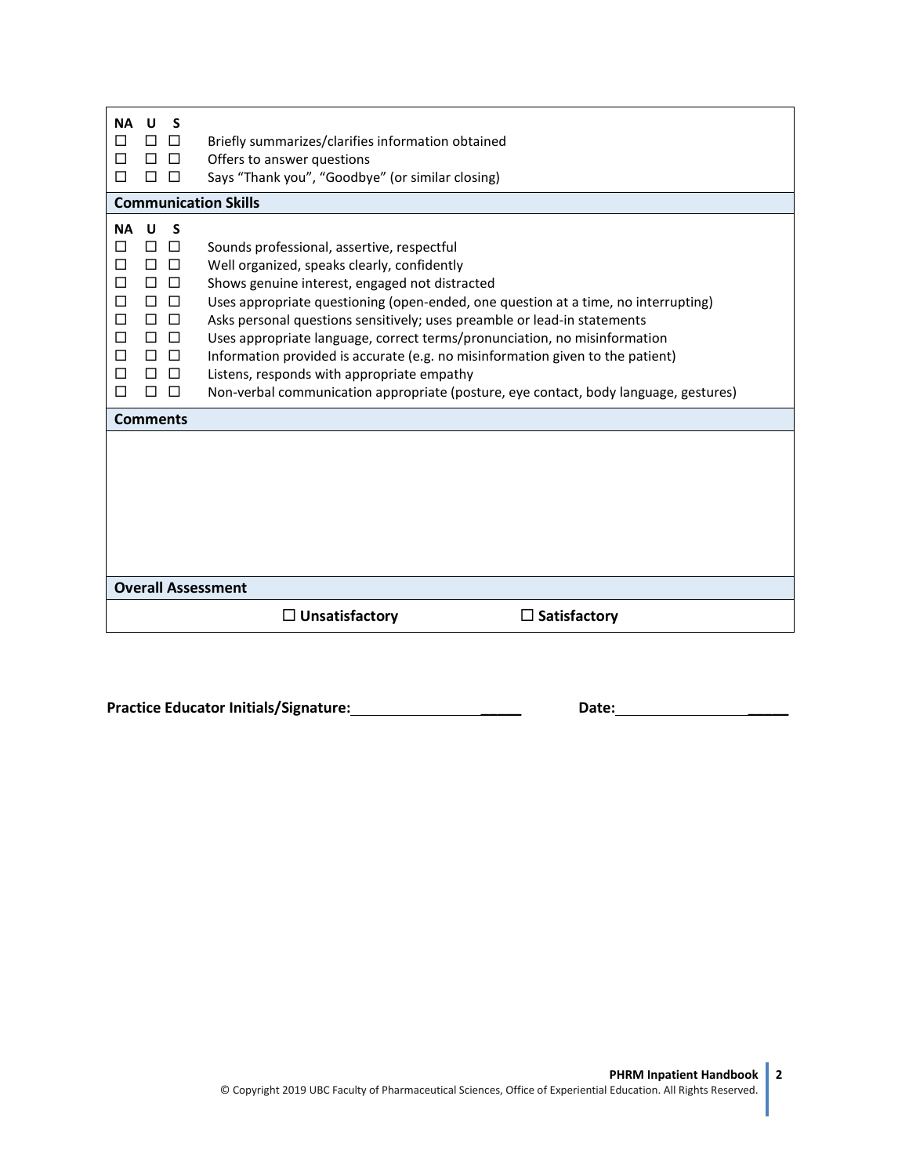| <b>NA</b><br>U<br>S<br>Ш<br>П<br>$\Box$<br>$\Box$<br>П<br>П                                                                                                  | Briefly summarizes/clarifies information obtained<br>Offers to answer questions<br>Says "Thank you", "Goodbye" (or similar closing)                                                                                                                                                                                                                                                                                                                                                                                                                                                                                |  |  |
|--------------------------------------------------------------------------------------------------------------------------------------------------------------|--------------------------------------------------------------------------------------------------------------------------------------------------------------------------------------------------------------------------------------------------------------------------------------------------------------------------------------------------------------------------------------------------------------------------------------------------------------------------------------------------------------------------------------------------------------------------------------------------------------------|--|--|
|                                                                                                                                                              | <b>Communication Skills</b>                                                                                                                                                                                                                                                                                                                                                                                                                                                                                                                                                                                        |  |  |
| <b>NA</b><br>U<br>S<br>Ш<br>$\Box$<br>□<br>□<br>□<br>□<br>П<br>П<br>$\perp$<br>$\perp$<br>П<br>$\Box$<br>П<br>$\Box$<br>□<br>$\Box$<br>П<br>$\Box$<br>$\Box$ | Sounds professional, assertive, respectful<br>Well organized, speaks clearly, confidently<br>Shows genuine interest, engaged not distracted<br>Uses appropriate questioning (open-ended, one question at a time, no interrupting)<br>Asks personal questions sensitively; uses preamble or lead-in statements<br>Uses appropriate language, correct terms/pronunciation, no misinformation<br>Information provided is accurate (e.g. no misinformation given to the patient)<br>Listens, responds with appropriate empathy<br>Non-verbal communication appropriate (posture, eye contact, body language, gestures) |  |  |
| <b>Comments</b>                                                                                                                                              |                                                                                                                                                                                                                                                                                                                                                                                                                                                                                                                                                                                                                    |  |  |
|                                                                                                                                                              |                                                                                                                                                                                                                                                                                                                                                                                                                                                                                                                                                                                                                    |  |  |
| <b>Overall Assessment</b>                                                                                                                                    |                                                                                                                                                                                                                                                                                                                                                                                                                                                                                                                                                                                                                    |  |  |
|                                                                                                                                                              | $\Box$ Unsatisfactory<br>Satisfactory                                                                                                                                                                                                                                                                                                                                                                                                                                                                                                                                                                              |  |  |

**Practice Educator Initials/Signature: \_\_\_\_\_ Date: \_\_\_\_\_**

**2**